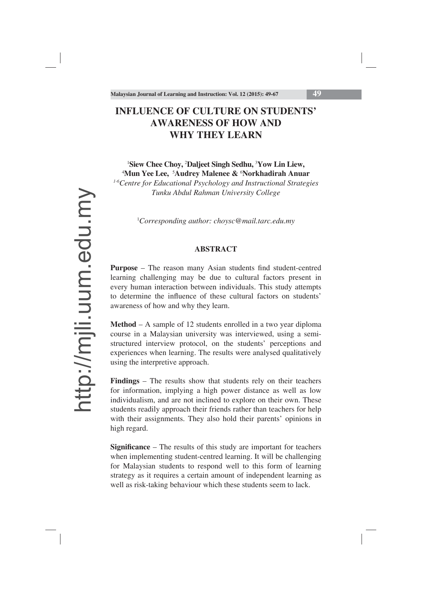# **INFLUENCE OF CULTURE ON STUDENTS' AWARENESS OF HOW AND WHY THEY LEARN**

1 **Siew Chee Choy,** <sup>2</sup> **Daljeet Singh Sedhu,** <sup>3</sup> **Yow Lin Liew,** 4 **Mun Yee Lee,** <sup>5</sup> **Audrey Malenee &** <sup>6</sup> **Norkhadirah Anuar**

*1-6Centre for Educational Psychology and Instructional Strategies Tunku Abdul Rahman University College*

1 *Corresponding author: choysc@mail.tarc.edu.my*

### **ABSTRACT**

**Purpose** – The reason many Asian students find student-centred learning challenging may be due to cultural factors present in every human interaction between individuals. This study attempts to determine the influence of these cultural factors on students' awareness of how and why they learn.

**Method** – A sample of 12 students enrolled in a two year diploma course in a Malaysian university was interviewed, using a semistructured interview protocol, on the students' perceptions and experiences when learning. The results were analysed qualitatively using the interpretive approach.

**Findings** – The results show that students rely on their teachers for information, implying a high power distance as well as low individualism, and are not inclined to explore on their own. These students readily approach their friends rather than teachers for help with their assignments. They also hold their parents' opinions in high regard.

**Significance** – The results of this study are important for teachers when implementing student-centred learning. It will be challenging for Malaysian students to respond well to this form of learning strategy as it requires a certain amount of independent learning as well as risk-taking behaviour which these students seem to lack.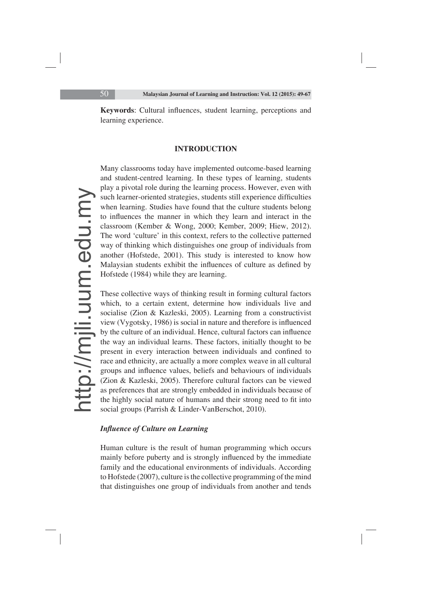**Keywords:** Cultural influences, student learning, perceptions and learning experience.

#### **INTRODUCTION**

Many classrooms today have implemented outcome-based learning and student-centred learning. In these types of learning, students play a pivotal role during the learning process. However, even with such learner-oriented strategies, students still experience difficulties when learning. Studies have found that the culture students belong to influences the manner in which they learn and interact in the classroom (Kember & Wong, 2000; Kember, 2009; Hiew, 2012). The word 'culture' in this context, refers to the collective patterned way of thinking which distinguishes one group of individuals from another (Hofstede, 2001). This study is interested to know how Malaysian students exhibit the influences of culture as defined by Hofstede (1984) while they are learning.

These collective ways of thinking result in forming cultural factors which, to a certain extent, determine how individuals live and socialise (Zion & Kazleski, 2005). Learning from a constructivist view (Vygotsky, 1986) is social in nature and therefore is influenced by the culture of an individual. Hence, cultural factors can influence the way an individual learns. These factors, initially thought to be present in every interaction between individuals and confined to race and ethnicity, are actually a more complex weave in all cultural groups and influence values, beliefs and behaviours of individuals (Zion & Kazleski, 2005). Therefore cultural factors can be viewed as preferences that are strongly embedded in individuals because of the highly social nature of humans and their strong need to fit into social groups (Parrish & Linder-VanBerschot, 2010).

# *Influence of Culture on Learning*

Human culture is the result of human programming which occurs mainly before puberty and is strongly influenced by the immediate family and the educational environments of individuals. According to Hofstede (2007), culture is the collective programming of the mind that distinguishes one group of individuals from another and tends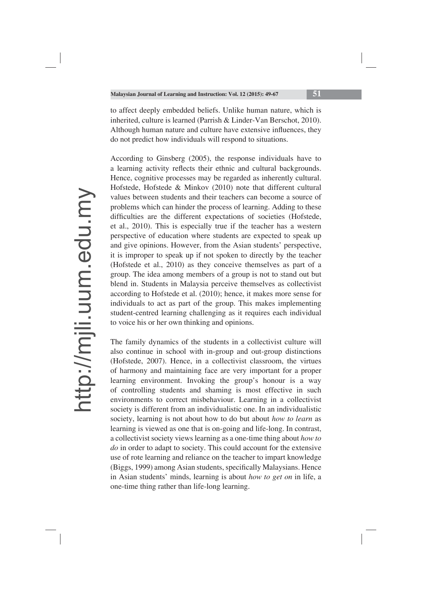to affect deeply embedded beliefs. Unlike human nature, which is inherited, culture is learned (Parrish & Linder-Van Berschot, 2010). Although human nature and culture have extensive influences, they do not predict how individuals will respond to situations.

According to Ginsberg (2005), the response individuals have to a learning activity reflects their ethnic and cultural backgrounds. Hence, cognitive processes may be regarded as inherently cultural. Hofstede, Hofstede & Minkov (2010) note that different cultural values between students and their teachers can become a source of problems which can hinder the process of learning. Adding to these difficulties are the different expectations of societies (Hofstede, et al., 2010). This is especially true if the teacher has a western perspective of education where students are expected to speak up and give opinions. However, from the Asian students' perspective, it is improper to speak up if not spoken to directly by the teacher (Hofstede et al., 2010) as they conceive themselves as part of a group. The idea among members of a group is not to stand out but blend in. Students in Malaysia perceive themselves as collectivist according to Hofstede et al. (2010); hence, it makes more sense for individuals to act as part of the group. This makes implementing student-centred learning challenging as it requires each individual to voice his or her own thinking and opinions.

The family dynamics of the students in a collectivist culture will also continue in school with in-group and out-group distinctions (Hofstede, 2007). Hence, in a collectivist classroom, the virtues of harmony and maintaining face are very important for a proper learning environment. Invoking the group's honour is a way of controlling students and shaming is most effective in such environments to correct misbehaviour. Learning in a collectivist society is different from an individualistic one. In an individualistic society, learning is not about how to do but about *how to learn* as learning is viewed as one that is on-going and life-long. In contrast, a collectivist society views learning as a one-time thing about *how to do* in order to adapt to society. This could account for the extensive use of rote learning and reliance on the teacher to impart knowledge (Biggs, 1999) among Asian students, specifically Malaysians. Hence in Asian students' minds, learning is about *how to get on* in life, a one-time thing rather than life-long learning.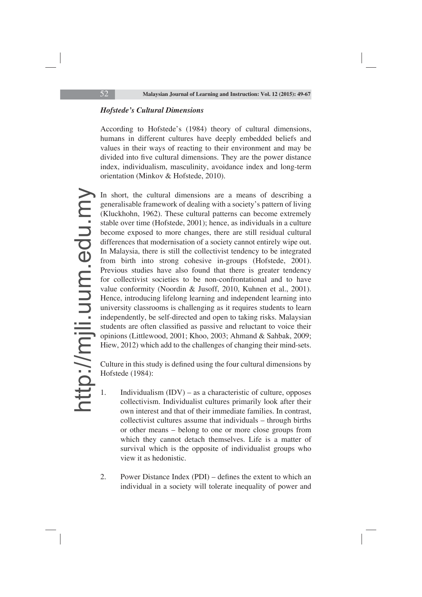## *Hofstede's Cultural Dimensions*

According to Hofstede's (1984) theory of cultural dimensions, humans in different cultures have deeply embedded beliefs and values in their ways of reacting to their environment and may be divided into five cultural dimensions. They are the power distance index, individualism, masculinity, avoidance index and long-term orientation (Minkov & Hofstede, 2010).

In short, the cultural dimensions are a means of describing a generalisable framework of dealing with a society's pattern of living (Kluckhohn, 1962). These cultural patterns can become extremely stable over time (Hofstede, 2001); hence, as individuals in a culture become exposed to more changes, there are still residual cultural differences that modernisation of a society cannot entirely wipe out. In Malaysia, there is still the collectivist tendency to be integrated from birth into strong cohesive in-groups (Hofstede, 2001). Previous studies have also found that there is greater tendency for collectivist societies to be non-confrontational and to have value conformity (Noordin & Jusoff, 2010, Kuhnen et al., 2001). Hence, introducing lifelong learning and independent learning into university classrooms is challenging as it requires students to learn independently, be self-directed and open to taking risks. Malaysian students are often classified as passive and reluctant to voice their opinions (Littlewood, 2001; Khoo, 2003; Ahmand & Sahbak, 2009; Hiew, 2012) which add to the challenges of changing their mind-sets.

Culture in this study is defined using the four cultural dimensions by Hofstede (1984):

- 1. Individualism (IDV) as a characteristic of culture, opposes collectivism. Individualist cultures primarily look after their own interest and that of their immediate families. In contrast, collectivist cultures assume that individuals – through births or other means – belong to one or more close groups from which they cannot detach themselves. Life is a matter of survival which is the opposite of individualist groups who view it as hedonistic.
- 2. Power Distance Index (PDI) defines the extent to which an individual in a society will tolerate inequality of power and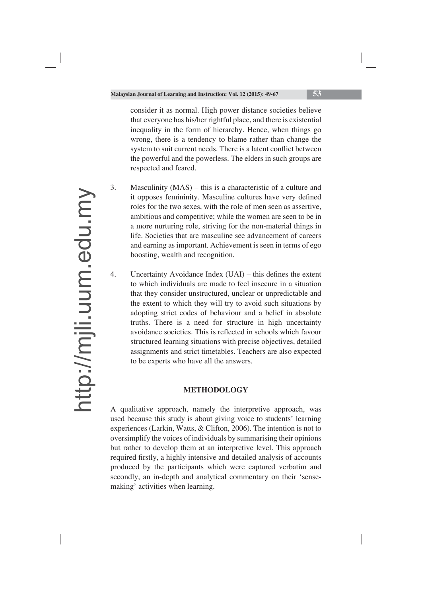consider it as normal. High power distance societies believe that everyone has his/her rightful place, and there is existential inequality in the form of hierarchy. Hence, when things go wrong, there is a tendency to blame rather than change the system to suit current needs. There is a latent conflict between the powerful and the powerless. The elders in such groups are respected and feared.

- 3. Masculinity (MAS) this is a characteristic of a culture and it opposes femininity. Masculine cultures have very defined roles for the two sexes, with the role of men seen as assertive, ambitious and competitive; while the women are seen to be in a more nurturing role, striving for the non-material things in life. Societies that are masculine see advancement of careers and earning as important. Achievement is seen in terms of ego boosting, wealth and recognition.
- 4. Uncertainty Avoidance Index  $(UAI)$  this defines the extent to which individuals are made to feel insecure in a situation that they consider unstructured, unclear or unpredictable and the extent to which they will try to avoid such situations by adopting strict codes of behaviour and a belief in absolute truths. There is a need for structure in high uncertainty avoidance societies. This is reflected in schools which favour structured learning situations with precise objectives, detailed assignments and strict timetables. Teachers are also expected to be experts who have all the answers.

### **METHODOLOGY**

A qualitative approach, namely the interpretive approach, was used because this study is about giving voice to students' learning experiences (Larkin, Watts, & Clifton, 2006). The intention is not to oversimplify the voices of individuals by summarising their opinions but rather to develop them at an interpretive level. This approach required firstly, a highly intensive and detailed analysis of accounts produced by the participants which were captured verbatim and secondly, an in-depth and analytical commentary on their 'sensemaking' activities when learning.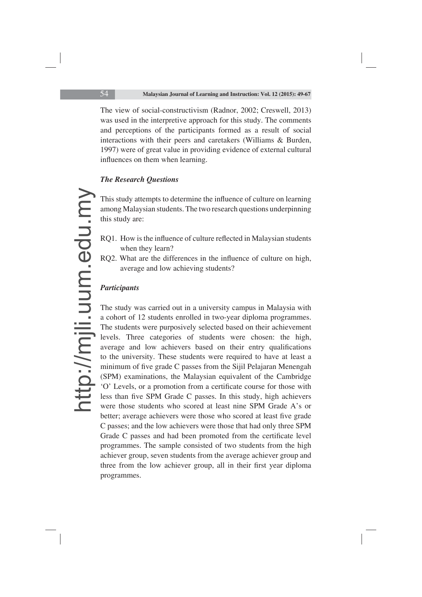The view of social-constructivism (Radnor, 2002; Creswell, 2013) was used in the interpretive approach for this study. The comments and perceptions of the participants formed as a result of social interactions with their peers and caretakers (Williams & Burden, 1997) were of great value in providing evidence of external cultural influences on them when learning.

# *The Research Questions*

This study attempts to determine the influence of culture on learning among Malaysian students. The two research questions underpinning this study are:

- RQ1. How is the influence of culture reflected in Malaysian students when they learn?
- RQ2. What are the differences in the influence of culture on high, average and low achieving students?

# *Participants*

The study was carried out in a university campus in Malaysia with a cohort of 12 students enrolled in two-year diploma programmes. The students were purposively selected based on their achievement levels. Three categories of students were chosen: the high, average and low achievers based on their entry qualifications to the university. These students were required to have at least a minimum of five grade C passes from the Sijil Pelajaran Menengah (SPM) examinations, the Malaysian equivalent of the Cambridge 'O' Levels, or a promotion from a certificate course for those with less than five SPM Grade C passes. In this study, high achievers were those students who scored at least nine SPM Grade A's or better; average achievers were those who scored at least five grade C passes; and the low achievers were those that had only three SPM Grade C passes and had been promoted from the certificate level programmes. The sample consisted of two students from the high achiever group, seven students from the average achiever group and three from the low achiever group, all in their first year diploma programmes.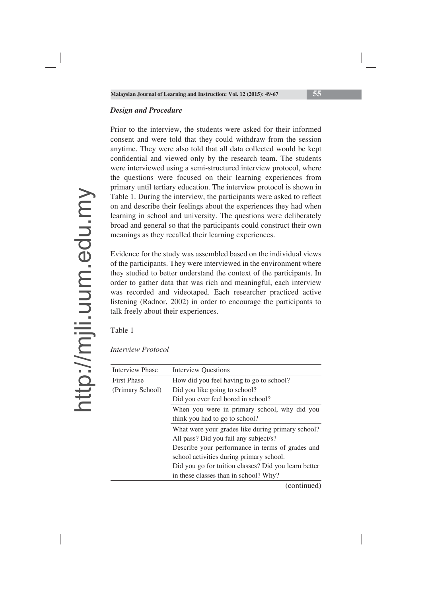### *Design and Procedure*

Prior to the interview, the students were asked for their informed consent and were told that they could withdraw from the session anytime. They were also told that all data collected would be kept confidential and viewed only by the research team. The students were interviewed using a semi-structured interview protocol, where the questions were focused on their learning experiences from primary until tertiary education. The interview protocol is shown in Table 1. During the interview, the participants were asked to reflect on and describe their feelings about the experiences they had when learning in school and university. The questions were deliberately broad and general so that the participants could construct their own meanings as they recalled their learning experiences.

Evidence for the study was assembled based on the individual views of the participants. They were interviewed in the environment where they studied to better understand the context of the participants. In order to gather data that was rich and meaningful, each interview was recorded and videotaped. Each researcher practiced active listening (Radnor, 2002) in order to encourage the participants to talk freely about their experiences.

Table 1

| <b>Interview Phase</b> | <b>Interview Questions</b>                           |
|------------------------|------------------------------------------------------|
| <b>First Phase</b>     | How did you feel having to go to school?             |
| (Primary School)       | Did you like going to school?                        |
|                        | Did you ever feel bored in school?                   |
|                        | When you were in primary school, why did you         |
|                        | think you had to go to school?                       |
|                        | What were your grades like during primary school?    |
|                        | All pass? Did you fail any subject/s?                |
|                        | Describe your performance in terms of grades and     |
|                        | school activities during primary school.             |
|                        | Did you go for tuition classes? Did you learn better |
|                        | in these classes than in school? Why?                |

*Interview Protocol*

(continued)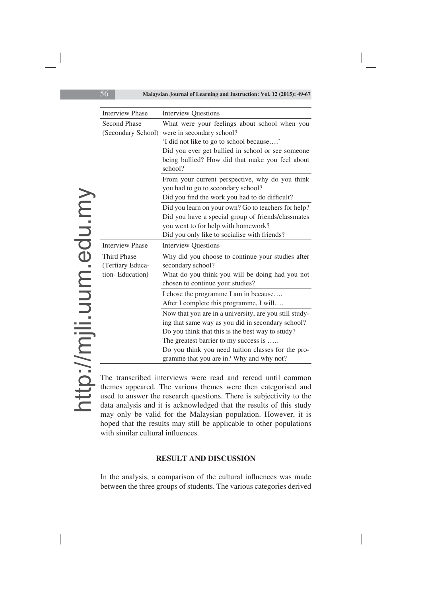| <b>Interview Phase</b>                                    | <b>Interview Questions</b>                                                                                                                                                                                                                                                                                 |
|-----------------------------------------------------------|------------------------------------------------------------------------------------------------------------------------------------------------------------------------------------------------------------------------------------------------------------------------------------------------------------|
| <b>Second Phase</b><br>(Secondary School)                 | What were your feelings about school when you<br>were in secondary school?<br>'I did not like to go to school because'<br>Did you ever get bullied in school or see someone<br>being bullied? How did that make you feel about<br>school?                                                                  |
|                                                           | From your current perspective, why do you think<br>you had to go to secondary school?<br>Did you find the work you had to do difficult?                                                                                                                                                                    |
|                                                           | Did you learn on your own? Go to teachers for help?<br>Did you have a special group of friends/classmates<br>you went to for help with homework?<br>Did you only like to socialise with friends?                                                                                                           |
| <b>Interview Phase</b>                                    | <b>Interview Questions</b>                                                                                                                                                                                                                                                                                 |
| <b>Third Phase</b><br>(Tertiary Educa-<br>tion-Education) | Why did you choose to continue your studies after<br>secondary school?<br>What do you think you will be doing had you not<br>chosen to continue your studies?                                                                                                                                              |
|                                                           | I chose the programme I am in because<br>After I complete this programme, I will                                                                                                                                                                                                                           |
|                                                           | Now that you are in a university, are you still study-<br>ing that same way as you did in secondary school?<br>Do you think that this is the best way to study?<br>The greatest barrier to my success is<br>Do you think you need tuition classes for the pro-<br>gramme that you are in? Why and why not? |

The transcribed interviews were read and reread until common themes appeared. The various themes were then categorised and used to answer the research questions. There is subjectivity to the data analysis and it is acknowledged that the results of this study may only be valid for the Malaysian population. However, it is hoped that the results may still be applicable to other populations with similar cultural influences.

### **RESULT AND DISCUSSION**

In the analysis, a comparison of the cultural influences was made between the three groups of students. The various categories derived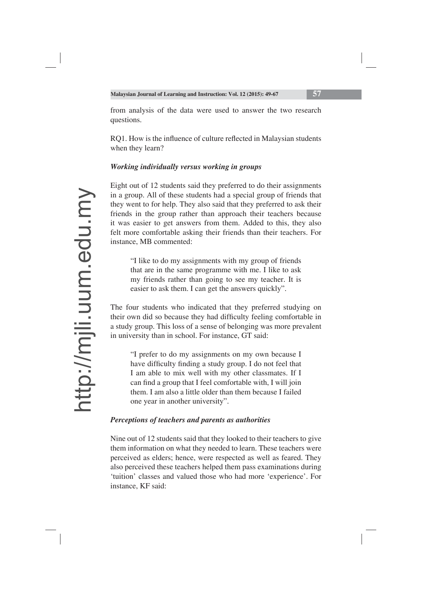from analysis of the data were used to answer the two research questions.

RQ1. How is the influence of culture reflected in Malaysian students when they learn?

# *Working individually versus working in groups*

Eight out of 12 students said they preferred to do their assignments in a group. All of these students had a special group of friends that they went to for help. They also said that they preferred to ask their friends in the group rather than approach their teachers because it was easier to get answers from them. Added to this, they also felt more comfortable asking their friends than their teachers. For instance, MB commented:

"I like to do my assignments with my group of friends that are in the same programme with me. I like to ask my friends rather than going to see my teacher. It is easier to ask them. I can get the answers quickly".

The four students who indicated that they preferred studying on their own did so because they had difficulty feeling comfortable in a study group. This loss of a sense of belonging was more prevalent in university than in school. For instance, GT said:

"I prefer to do my assignments on my own because I have difficulty finding a study group. I do not feel that I am able to mix well with my other classmates. If I can find a group that I feel comfortable with, I will join them. I am also a little older than them because I failed one year in another university".

# *Perceptions of teachers and parents as authorities*

Nine out of 12 students said that they looked to their teachers to give them information on what they needed to learn. These teachers were perceived as elders; hence, were respected as well as feared. They also perceived these teachers helped them pass examinations during 'tuition' classes and valued those who had more 'experience'. For instance, KF said: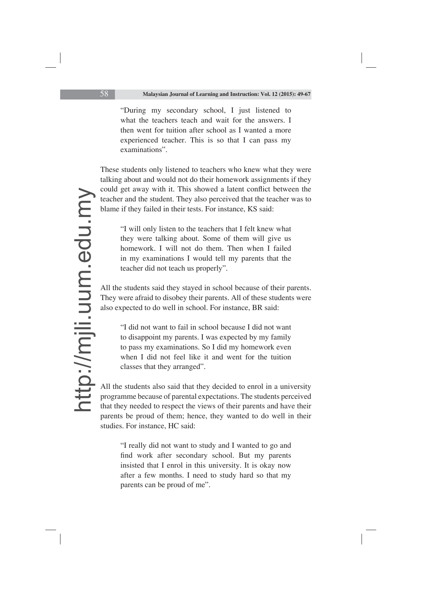"During my secondary school, I just listened to what the teachers teach and wait for the answers. I then went for tuition after school as I wanted a more experienced teacher. This is so that I can pass my examinations".

These students only listened to teachers who knew what they were talking about and would not do their homework assignments if they could get away with it. This showed a latent conflict between the teacher and the student. They also perceived that the teacher was to blame if they failed in their tests. For instance, KS said:

"I will only listen to the teachers that I felt knew what they were talking about. Some of them will give us homework. I will not do them. Then when I failed in my examinations I would tell my parents that the teacher did not teach us properly".

All the students said they stayed in school because of their parents. They were afraid to disobey their parents. All of these students were also expected to do well in school. For instance, BR said:

"I did not want to fail in school because I did not want to disappoint my parents. I was expected by my family to pass my examinations. So I did my homework even when I did not feel like it and went for the tuition classes that they arranged".

All the students also said that they decided to enrol in a university programme because of parental expectations. The students perceived that they needed to respect the views of their parents and have their parents be proud of them; hence, they wanted to do well in their studies. For instance, HC said:

"I really did not want to study and I wanted to go and find work after secondary school. But my parents insisted that I enrol in this university. It is okay now after a few months. I need to study hard so that my parents can be proud of me".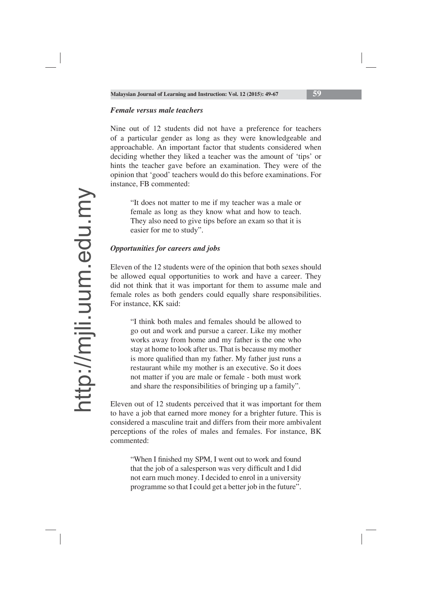### *Female versus male teachers*

Nine out of 12 students did not have a preference for teachers of a particular gender as long as they were knowledgeable and approachable. An important factor that students considered when deciding whether they liked a teacher was the amount of 'tips' or hints the teacher gave before an examination. They were of the opinion that 'good' teachers would do this before examinations. For instance, FB commented:

"It does not matter to me if my teacher was a male or female as long as they know what and how to teach. They also need to give tips before an exam so that it is easier for me to study".

#### *Opportunities for careers and jobs*

Eleven of the 12 students were of the opinion that both sexes should be allowed equal opportunities to work and have a career. They did not think that it was important for them to assume male and female roles as both genders could equally share responsibilities. For instance, KK said:

"I think both males and females should be allowed to go out and work and pursue a career. Like my mother works away from home and my father is the one who stay at home to look after us. That is because my mother is more qualified than my father. My father just runs a restaurant while my mother is an executive. So it does not matter if you are male or female - both must work and share the responsibilities of bringing up a family".

Eleven out of 12 students perceived that it was important for them to have a job that earned more money for a brighter future. This is considered a masculine trait and differs from their more ambivalent perceptions of the roles of males and females. For instance, BK commented:

"When I finished my SPM, I went out to work and found that the job of a salesperson was very difficult and I did not earn much money. I decided to enrol in a university programme so that I could get a better job in the future".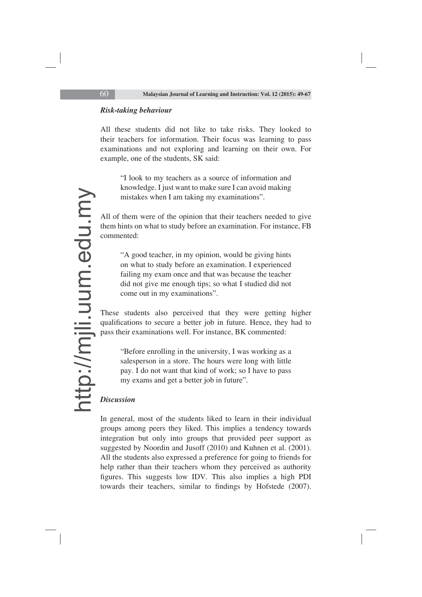### *Risk-taking behaviour*

All these students did not like to take risks. They looked to their teachers for information. Their focus was learning to pass examinations and not exploring and learning on their own. For example, one of the students, SK said:

"I look to my teachers as a source of information and knowledge. I just want to make sure I can avoid making mistakes when I am taking my examinations".

All of them were of the opinion that their teachers needed to give them hints on what to study before an examination. For instance, FB commented:

"A good teacher, in my opinion, would be giving hints on what to study before an examination. I experienced failing my exam once and that was because the teacher did not give me enough tips; so what I studied did not come out in my examinations".

These students also perceived that they were getting higher qualifications to secure a better job in future. Hence, they had to pass their examinations well. For instance, BK commented:

"Before enrolling in the university, I was working as a salesperson in a store. The hours were long with little pay. I do not want that kind of work; so I have to pass my exams and get a better job in future".

### *Discussion*

In general, most of the students liked to learn in their individual groups among peers they liked. This implies a tendency towards integration but only into groups that provided peer support as suggested by Noordin and Jusoff (2010) and Kuhnen et al. (2001). All the students also expressed a preference for going to friends for help rather than their teachers whom they perceived as authority figures. This suggests low IDV. This also implies a high PDI towards their teachers, similar to findings by Hofstede (2007).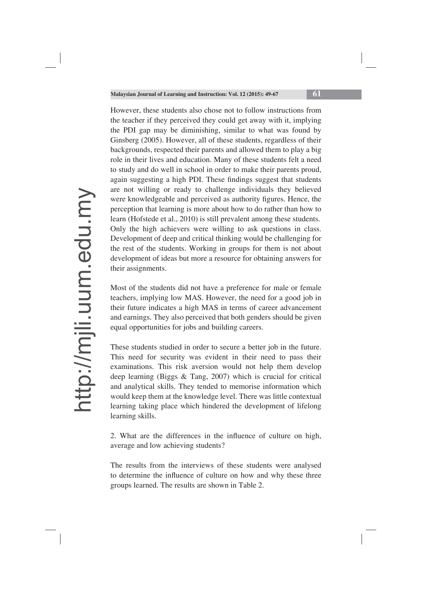However, these students also chose not to follow instructions from the teacher if they perceived they could get away with it, implying the PDI gap may be diminishing, similar to what was found by Ginsberg (2005). However, all of these students, regardless of their backgrounds, respected their parents and allowed them to play a big role in their lives and education. Many of these students felt a need to study and do well in school in order to make their parents proud, again suggesting a high PDI. These findings suggest that students are not willing or ready to challenge individuals they believed were knowledgeable and perceived as authority figures. Hence, the perception that learning is more about how to do rather than how to learn (Hofstede et al., 2010) is still prevalent among these students. Only the high achievers were willing to ask questions in class. Development of deep and critical thinking would be challenging for the rest of the students. Working in groups for them is not about development of ideas but more a resource for obtaining answers for their assignments.

Most of the students did not have a preference for male or female teachers, implying low MAS. However, the need for a good job in their future indicates a high MAS in terms of career advancement and earnings. They also perceived that both genders should be given equal opportunities for jobs and building careers.

These students studied in order to secure a better job in the future. This need for security was evident in their need to pass their examinations. This risk aversion would not help them develop deep learning (Biggs & Tang, 2007) which is crucial for critical and analytical skills. They tended to memorise information which would keep them at the knowledge level. There was little contextual learning taking place which hindered the development of lifelong learning skills.

2. What are the differences in the influence of culture on high, average and low achieving students?

The results from the interviews of these students were analysed to determine the influence of culture on how and why these three groups learned. The results are shown in Table 2.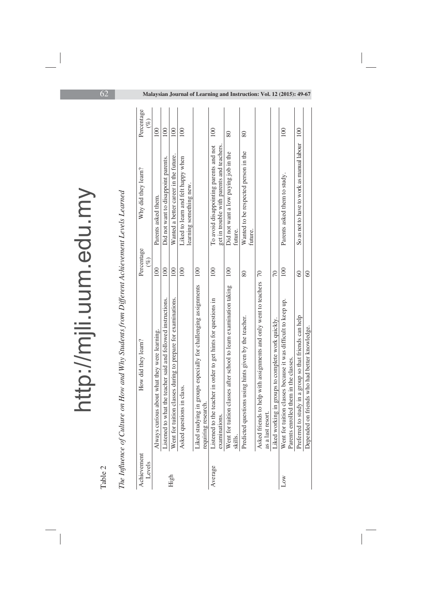| Table 2               |                                                                                                        |                      |                                                                                     |                      |
|-----------------------|--------------------------------------------------------------------------------------------------------|----------------------|-------------------------------------------------------------------------------------|----------------------|
|                       | The Influence of Culture on How and Why Students from Different Achievement Levels Learned             |                      |                                                                                     |                      |
| Achievement<br>Levels | How did they learn?                                                                                    | Percentage<br>$(\%)$ | Why did they learn?                                                                 | Percentage<br>$(\%)$ |
|                       | Always curious about what they were learning.                                                          | <b>DOI</b>           | Parents asked them.                                                                 | 100                  |
|                       | to what the teacher said and followed instructions.<br>Listened                                        | 100                  | Did not want to disappoint parents.                                                 | 100                  |
| High                  | Went for tuition classes during to prepare for examinations.                                           | 100                  | Wanted a better career in the future.                                               | 100                  |
|                       | Asked questions in class.                                                                              | 100                  | Liked to learn and felt happy when<br>learning something new.                       | 100                  |
|                       | Liked studying in groups especially for challenging assignments<br>requiring research.                 | $\approx$            |                                                                                     |                      |
| Average               | to the teacher in order to get hints for questions in<br>examinations.<br>Listened                     | 100                  | get in trouble with parents and teachers.<br>To avoid disappointing parents and not | 100                  |
|                       | Went for tuition classes after school to learn examination taking<br>skills.                           | 100                  | Did not want a low paying job in the<br>future.                                     | 80                   |
|                       | Predicted questions using hints given by the teacher.                                                  | 80                   | Wanted to be respected person in the<br>future.                                     | 80                   |
|                       | Asked friends to help with assignments and only went to teachers                                       | $\overline{C}$       |                                                                                     |                      |
|                       | as a last resort.<br>Liked working in groups to complete work quickly.                                 | 70                   |                                                                                     |                      |
| Low                   | Went for tuition classes because it was difficult to keep up.<br>Parents enrolled them in the classes. | $\overline{00}$      | Parents asked them to study.                                                        | 100                  |
|                       | Preferred to study in a group so that friends can help                                                 | $\Im$                | So as not to have to work as manual labour                                          | 100                  |
|                       | Depended on friends who had better knowledge.                                                          | $\degree$            |                                                                                     |                      |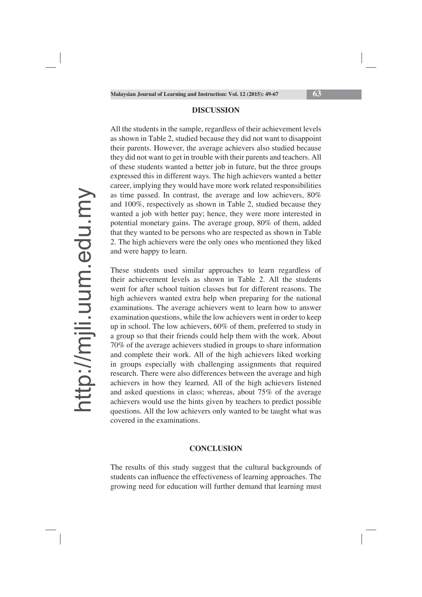#### **DISCUSSION**

All the students in the sample, regardless of their achievement levels as shown in Table 2, studied because they did not want to disappoint their parents. However, the average achievers also studied because they did not want to get in trouble with their parents and teachers. All of these students wanted a better job in future, but the three groups expressed this in different ways. The high achievers wanted a better career, implying they would have more work related responsibilities as time passed. In contrast, the average and low achievers, 80% and 100%, respectively as shown in Table 2, studied because they wanted a job with better pay; hence, they were more interested in potential monetary gains. The average group, 80% of them, added that they wanted to be persons who are respected as shown in Table 2. The high achievers were the only ones who mentioned they liked and were happy to learn.

These students used similar approaches to learn regardless of their achievement levels as shown in Table 2. All the students went for after school tuition classes but for different reasons. The high achievers wanted extra help when preparing for the national examinations. The average achievers went to learn how to answer examination questions, while the low achievers went in order to keep up in school. The low achievers, 60% of them, preferred to study in a group so that their friends could help them with the work. About 70% of the average achievers studied in groups to share information and complete their work. All of the high achievers liked working in groups especially with challenging assignments that required research. There were also differences between the average and high achievers in how they learned. All of the high achievers listened and asked questions in class; whereas, about 75% of the average achievers would use the hints given by teachers to predict possible questions. All the low achievers only wanted to be taught what was covered in the examinations.

#### **CONCLUSION**

The results of this study suggest that the cultural backgrounds of students can influence the effectiveness of learning approaches. The growing need for education will further demand that learning must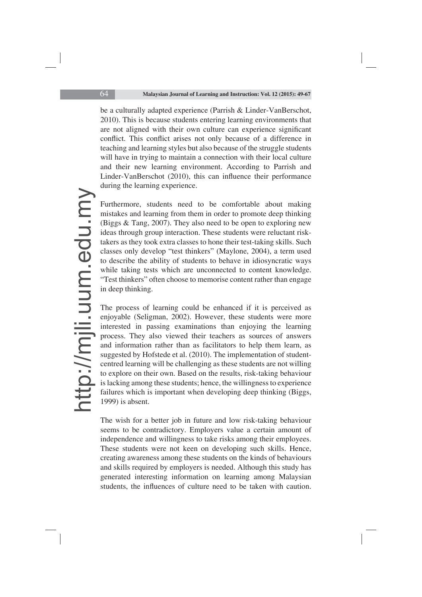be a culturally adapted experience (Parrish & Linder-VanBerschot, 2010). This is because students entering learning environments that are not aligned with their own culture can experience significant conflict. This conflict arises not only because of a difference in teaching and learning styles but also because of the struggle students will have in trying to maintain a connection with their local culture and their new learning environment. According to Parrish and Linder-VanBerschot (2010), this can influence their performance during the learning experience.

Furthermore, students need to be comfortable about making mistakes and learning from them in order to promote deep thinking (Biggs & Tang, 2007). They also need to be open to exploring new ideas through group interaction. These students were reluctant risktakers as they took extra classes to hone their test-taking skills. Such classes only develop "test thinkers" (Maylone, 2004), a term used to describe the ability of students to behave in idiosyncratic ways while taking tests which are unconnected to content knowledge. "Test thinkers" often choose to memorise content rather than engage in deep thinking.

The process of learning could be enhanced if it is perceived as enjoyable (Seligman, 2002). However, these students were more interested in passing examinations than enjoying the learning process. They also viewed their teachers as sources of answers and information rather than as facilitators to help them learn, as suggested by Hofstede et al. (2010). The implementation of studentcentred learning will be challenging as these students are not willing to explore on their own. Based on the results, risk-taking behaviour is lacking among these students; hence, the willingness to experience failures which is important when developing deep thinking (Biggs, 1999) is absent.

The wish for a better job in future and low risk-taking behaviour seems to be contradictory. Employers value a certain amount of independence and willingness to take risks among their employees. These students were not keen on developing such skills. Hence, creating awareness among these students on the kinds of behaviours and skills required by employers is needed. Although this study has generated interesting information on learning among Malaysian students, the influences of culture need to be taken with caution.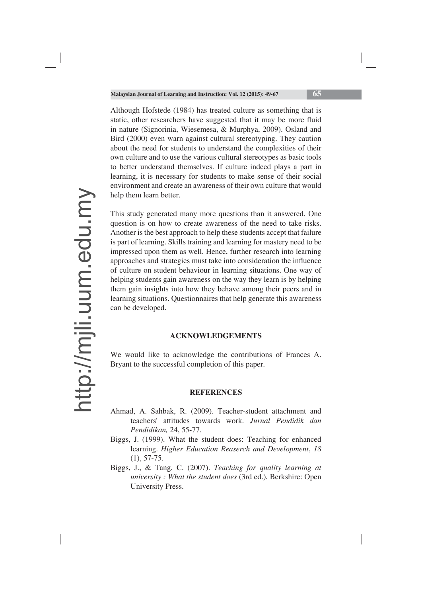Although Hofstede (1984) has treated culture as something that is static, other researchers have suggested that it may be more fluid in nature (Signorinia, Wiesemesa, & Murphya, 2009). Osland and Bird (2000) even warn against cultural stereotyping. They caution about the need for students to understand the complexities of their own culture and to use the various cultural stereotypes as basic tools to better understand themselves. If culture indeed plays a part in learning, it is necessary for students to make sense of their social environment and create an awareness of their own culture that would help them learn better.

This study generated many more questions than it answered. One question is on how to create awareness of the need to take risks. Another is the best approach to help these students accept that failure is part of learning. Skills training and learning for mastery need to be impressed upon them as well. Hence, further research into learning approaches and strategies must take into consideration the influence of culture on student behaviour in learning situations. One way of helping students gain awareness on the way they learn is by helping them gain insights into how they behave among their peers and in learning situations. Questionnaires that help generate this awareness can be developed.

### **ACKNOWLEDGEMENTS**

We would like to acknowledge the contributions of Frances A. Bryant to the successful completion of this paper.

#### **REFERENCES**

- Ahmad, A. Sahbak, R. (2009). Teacher-student attachment and teachers' attitudes towards work. *Jurnal Pendidik dan Pendidikan,* 24, 55-77.
- Biggs, J. (1999). What the student does: Teaching for enhanced learning. *Higher Education Reaserch and Development*, *18* (1), 57-75.
- Biggs, J., & Tang, C. (2007). *Teaching for quality learning at university : What the student does* (3rd ed.)*.* Berkshire: Open University Press.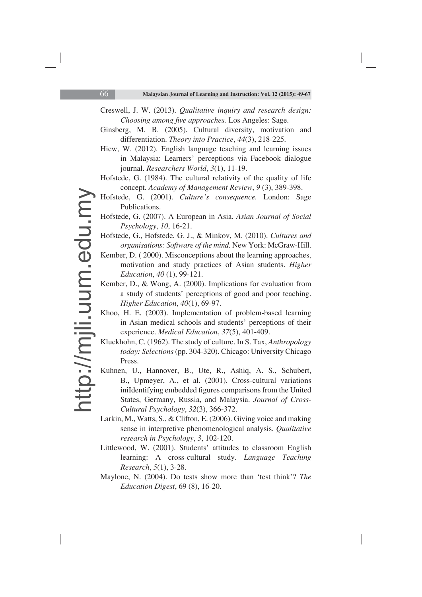- Creswell, J. W. (2013). *Qualitative inquiry and research design: Choosing among five approaches.* Los Angeles: Sage.
- Ginsberg, M. B. (2005). Cultural diversity, motivation and differentiation. *Theory into Practice*, *44*(3), 218-225.
- Hiew, W. (2012). English language teaching and learning issues in Malaysia: Learners' perceptions via Facebook dialogue journal. *Researchers World*, *3*(1), 11-19.
- Hofstede, G. (1984). The cultural relativity of the quality of life concept. *Academy of Management Review*, *9* (3), 389-398.
- Hofstede, G. (2001). *Culture's consequence.* London: Sage Publications.
- Hofstede, G. (2007). A European in Asia. *Asian Journal of Social Psychology*, *10*, 16-21.
- Hofstede, G., Hofstede, G. J., & Minkov, M. (2010). *Cultures and organisations: Software of the mind.* New York: McGraw-Hill.
- Kember, D. ( 2000). Misconceptions about the learning approaches, motivation and study practices of Asian students. *Higher Education*, *40* (1), 99-121.
- Kember, D., & Wong, A. (2000). Implications for evaluation from a study of students' perceptions of good and poor teaching. *Higher Education*, *40*(1), 69-97.
- Khoo, H. E. (2003). Implementation of problem-based learning in Asian medical schools and students' perceptions of their experience. *Medical Education*, *37*(5), 401-409.
- Kluckhohn, C. (1962). The study of culture. In S. Tax, *Anthropology today: Selections* (pp. 304-320). Chicago: University Chicago Press.
- Kuhnen, U., Hannover, B., Ute, R., Ashiq, A. S., Schubert, B., Upmeyer, A., et al. (2001). Cross-cultural variations iniIdentifying embedded figures comparisons from the United States, Germany, Russia, and Malaysia. *Journal of Cross-Cultural Psychology*, *32*(3), 366-372.
- Larkin, M., Watts, S., & Clifton, E. (2006). Giving voice and making sense in interpretive phenomenological analysis. *Qualitative research in Psychology*, *3*, 102-120.
- Littlewood, W. (2001). Students' attitudes to classroom English learning: A cross-cultural study. *Language Teaching Research*, *5*(1), 3-28.
- Maylone, N. (2004). Do tests show more than 'test think'? *The Education Digest*, 69 (8), 16-20.